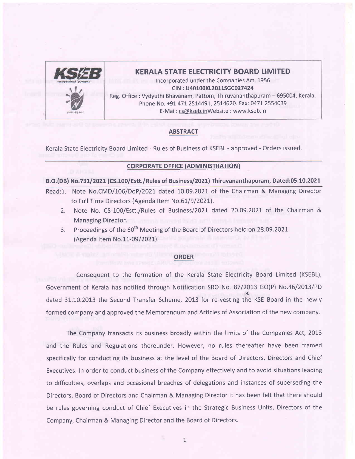

#### KERALA STATE ELECTRICITY BOARD LIMITED

Incorporated under the Companies Act, 1956 CIN : U40100KL2011SGC027424 Reg. Office: Vydyuthi Bhavanam, Pattom, Thiruvananthapuram - 695004, Kerala. Phone No. +91 471 2514491, 2514620. Fax: 0471 2554039 E-Mail: cs@kseb.inWebsite : www,kseb.in

#### **ABSTRACT**

Kerala State Electricity Board Limited - Rules of Business of KSEBL - approved - Orders issued.

#### **CORPORATE OFFICE (ADMINISTRATION)**

B.O.(DB) No.731/2021 (CS.100/Estt./Rules of Business/2021) Thiruvananthapuram, Dated:05.10.2021

- Read:1. Note No.CMD/106/DoP/2021 dated 10.09.2021 of the Chairman & Managing Director to Full Time Directors (Agenda Item No.61/9/2021).
	- 2. Note No. CS-100/Estt./Rules of Business/2021 dated 20.09.2021 of the Chairman & Managing Director.
	- 3. Proceedings of the 60<sup>th</sup> Meeting of the Board of Directors held on 28.09.2021 (Agenda Item No.11-09/2021).

#### ORDER

Consequent to the formation of the Kerala State Electricity Board Limited (KSEBL), Government of Kerala has notified through Notification SRO No. 87/2013 GO(P) No.46/2013/PD dated 3L.10.2013 the Second Transfer Scheme, 2013 for re-vesting the KSE Board in the newly formed company and approved the Memorandum and Articles of Association of the new company.

The Company transacts its business broadly within the limits of the Companies Act, 2013 and the Rules and Regulations thereunder, However, no rules thereafter have been framed specifically for conducting its business at the level of the Board of Directors, Directors and Chief Executives. In order to conduct business of the Company effectively and to avoid situations leading to difficulties, overlaps and occasional breaches of delegations and instances of superseding the Directors, Board of Directors and Chairman & Managing Director it has been felt that there should be rules governing conduct of Chief Executives in the Strategic Business Units, Directors of the Company, Chairman & Managing Director and the Board of Directors.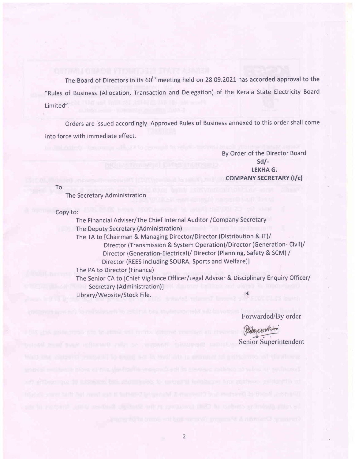The Board of Directors in its 60<sup>th</sup> meeting held on 28.09.2021 has accorded approval to the "Rules of Business (Allocation, Transaction and Delegation) of the Kerala State Electricity Board Limited".

Orders are issued accordingly. Approved Rules of Business annexed to this order shall come into force with immediate effect.

> By Order of the Director Board sd/- LEKHA G. COMPANY SECRETARY (I/c)

To

The Secretary Administration

Copy to:

The Financial Adviser/The Chief Internal Auditor /Company Secretary The Deputy Secretary (Administration) The TA to [Chairman & Managing Director/Director (Distribution & lT)/ Director (Transmission & System Operation)/Director (Generation-Civil)/ Director (Generation-Electrical)/ Director (Planning, Safety & SCM) / Director (REES including SOURA, Sports and Welfare)l The PA to Director (Finance) The Senior CA to [Chief Vigilance Officer/Legal Adviser & Disciplinary Enquiry Officer/ Secretary (Administration)] Library/Website/Stock File.

Forwarded/By order

Senior Superintendent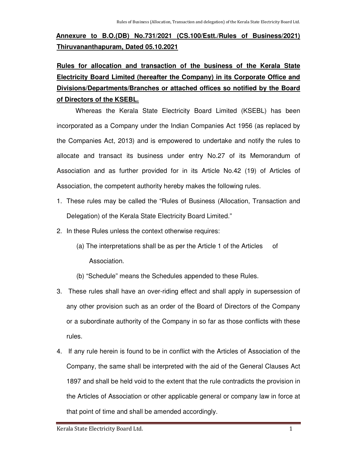# **Annexure to B.O.(DB) No.731/2021 (CS.100/Estt./Rules of Business/2021) Thiruvananthapuram, Dated 05.10.2021**

# **Rules for allocation and transaction of the business of the Kerala State Electricity Board Limited (hereafter the Company) in its Corporate Office and Divisions/Departments/Branches or attached offices so notified by the Board of Directors of the KSEBL.**

 Whereas the Kerala State Electricity Board Limited (KSEBL) has been incorporated as a Company under the Indian Companies Act 1956 (as replaced by the Companies Act, 2013) and is empowered to undertake and notify the rules to allocate and transact its business under entry No.27 of its Memorandum of Association and as further provided for in its Article No.42 (19) of Articles of Association, the competent authority hereby makes the following rules.

- 1. These rules may be called the "Rules of Business (Allocation, Transaction and Delegation) of the Kerala State Electricity Board Limited."
- 2. In these Rules unless the context otherwise requires:
	- (a) The interpretations shall be as per the Article 1 of the Articles of Association.
	- (b) "Schedule" means the Schedules appended to these Rules.
- 3. These rules shall have an over-riding effect and shall apply in supersession of any other provision such as an order of the Board of Directors of the Company or a subordinate authority of the Company in so far as those conflicts with these rules.
- 4. If any rule herein is found to be in conflict with the Articles of Association of the Company, the same shall be interpreted with the aid of the General Clauses Act 1897 and shall be held void to the extent that the rule contradicts the provision in the Articles of Association or other applicable general or company law in force at that point of time and shall be amended accordingly.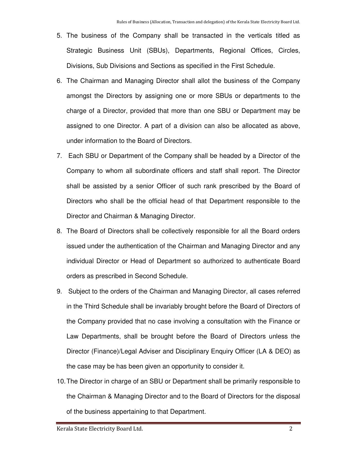- 5. The business of the Company shall be transacted in the verticals titled as Strategic Business Unit (SBUs), Departments, Regional Offices, Circles, Divisions, Sub Divisions and Sections as specified in the First Schedule.
- 6. The Chairman and Managing Director shall allot the business of the Company amongst the Directors by assigning one or more SBUs or departments to the charge of a Director, provided that more than one SBU or Department may be assigned to one Director. A part of a division can also be allocated as above, under information to the Board of Directors.
- 7. Each SBU or Department of the Company shall be headed by a Director of the Company to whom all subordinate officers and staff shall report. The Director shall be assisted by a senior Officer of such rank prescribed by the Board of Directors who shall be the official head of that Department responsible to the Director and Chairman & Managing Director.
- 8. The Board of Directors shall be collectively responsible for all the Board orders issued under the authentication of the Chairman and Managing Director and any individual Director or Head of Department so authorized to authenticate Board orders as prescribed in Second Schedule.
- 9. Subject to the orders of the Chairman and Managing Director, all cases referred in the Third Schedule shall be invariably brought before the Board of Directors of the Company provided that no case involving a consultation with the Finance or Law Departments, shall be brought before the Board of Directors unless the Director (Finance)/Legal Adviser and Disciplinary Enquiry Officer (LA & DEO) as the case may be has been given an opportunity to consider it.
- 10. The Director in charge of an SBU or Department shall be primarily responsible to the Chairman & Managing Director and to the Board of Directors for the disposal of the business appertaining to that Department.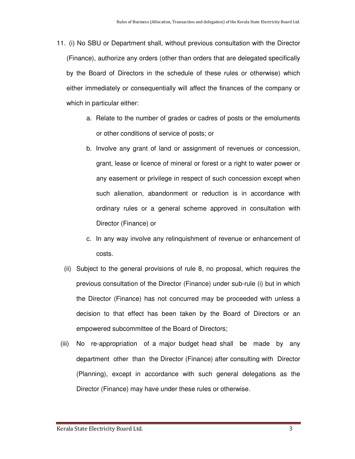- 11. (i) No SBU or Department shall, without previous consultation with the Director (Finance), authorize any orders (other than orders that are delegated specifically by the Board of Directors in the schedule of these rules or otherwise) which either immediately or consequentially will affect the finances of the company or which in particular either:
	- a. Relate to the number of grades or cadres of posts or the emoluments or other conditions of service of posts; or
	- b. Involve any grant of land or assignment of revenues or concession, grant, lease or licence of mineral or forest or a right to water power or any easement or privilege in respect of such concession except when such alienation, abandonment or reduction is in accordance with ordinary rules or a general scheme approved in consultation with Director (Finance) or
	- c. In any way involve any relinquishment of revenue or enhancement of costs.
	- (ii) Subject to the general provisions of rule 8, no proposal, which requires the previous consultation of the Director (Finance) under sub-rule (i) but in which the Director (Finance) has not concurred may be proceeded with unless a decision to that effect has been taken by the Board of Directors or an empowered subcommittee of the Board of Directors;
	- (iii) No re-appropriation of a major budget head shall be made by any department other than the Director (Finance) after consulting with Director (Planning), except in accordance with such general delegations as the Director (Finance) may have under these rules or otherwise.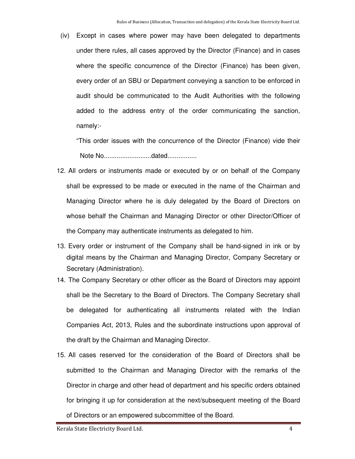(iv) Except in cases where power may have been delegated to departments under there rules, all cases approved by the Director (Finance) and in cases where the specific concurrence of the Director (Finance) has been given, every order of an SBU or Department conveying a sanction to be enforced in audit should be communicated to the Audit Authorities with the following added to the address entry of the order communicating the sanction, namely:-

 "This order issues with the concurrence of the Director (Finance) vide their Note No..........................dated................

- 12. All orders or instruments made or executed by or on behalf of the Company shall be expressed to be made or executed in the name of the Chairman and Managing Director where he is duly delegated by the Board of Directors on whose behalf the Chairman and Managing Director or other Director/Officer of the Company may authenticate instruments as delegated to him.
- 13. Every order or instrument of the Company shall be hand-signed in ink or by digital means by the Chairman and Managing Director, Company Secretary or Secretary (Administration).
- 14. The Company Secretary or other officer as the Board of Directors may appoint shall be the Secretary to the Board of Directors. The Company Secretary shall be delegated for authenticating all instruments related with the Indian Companies Act, 2013, Rules and the subordinate instructions upon approval of the draft by the Chairman and Managing Director.
- 15. All cases reserved for the consideration of the Board of Directors shall be submitted to the Chairman and Managing Director with the remarks of the Director in charge and other head of department and his specific orders obtained for bringing it up for consideration at the next/subsequent meeting of the Board of Directors or an empowered subcommittee of the Board.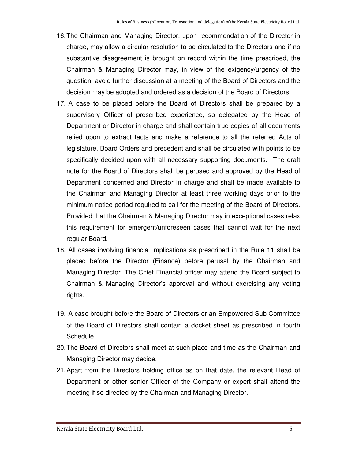- 16. The Chairman and Managing Director, upon recommendation of the Director in charge, may allow a circular resolution to be circulated to the Directors and if no substantive disagreement is brought on record within the time prescribed, the Chairman & Managing Director may, in view of the exigency/urgency of the question, avoid further discussion at a meeting of the Board of Directors and the decision may be adopted and ordered as a decision of the Board of Directors.
- 17. A case to be placed before the Board of Directors shall be prepared by a supervisory Officer of prescribed experience, so delegated by the Head of Department or Director in charge and shall contain true copies of all documents relied upon to extract facts and make a reference to all the referred Acts of legislature, Board Orders and precedent and shall be circulated with points to be specifically decided upon with all necessary supporting documents. The draft note for the Board of Directors shall be perused and approved by the Head of Department concerned and Director in charge and shall be made available to the Chairman and Managing Director at least three working days prior to the minimum notice period required to call for the meeting of the Board of Directors. Provided that the Chairman & Managing Director may in exceptional cases relax this requirement for emergent/unforeseen cases that cannot wait for the next regular Board.
- 18. All cases involving financial implications as prescribed in the Rule 11 shall be placed before the Director (Finance) before perusal by the Chairman and Managing Director. The Chief Financial officer may attend the Board subject to Chairman & Managing Director's approval and without exercising any voting rights.
- 19. A case brought before the Board of Directors or an Empowered Sub Committee of the Board of Directors shall contain a docket sheet as prescribed in fourth Schedule.
- 20. The Board of Directors shall meet at such place and time as the Chairman and Managing Director may decide.
- 21. Apart from the Directors holding office as on that date, the relevant Head of Department or other senior Officer of the Company or expert shall attend the meeting if so directed by the Chairman and Managing Director.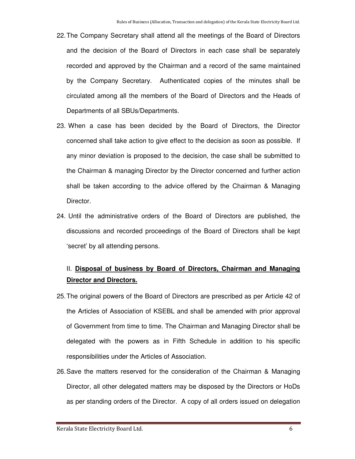- 22. The Company Secretary shall attend all the meetings of the Board of Directors and the decision of the Board of Directors in each case shall be separately recorded and approved by the Chairman and a record of the same maintained by the Company Secretary. Authenticated copies of the minutes shall be circulated among all the members of the Board of Directors and the Heads of Departments of all SBUs/Departments.
- 23. When a case has been decided by the Board of Directors, the Director concerned shall take action to give effect to the decision as soon as possible. If any minor deviation is proposed to the decision, the case shall be submitted to the Chairman & managing Director by the Director concerned and further action shall be taken according to the advice offered by the Chairman & Managing Director.
- 24. Until the administrative orders of the Board of Directors are published, the discussions and recorded proceedings of the Board of Directors shall be kept 'secret' by all attending persons.

# II. **Disposal of business by Board of Directors, Chairman and Managing Director and Directors.**

- 25. The original powers of the Board of Directors are prescribed as per Article 42 of the Articles of Association of KSEBL and shall be amended with prior approval of Government from time to time. The Chairman and Managing Director shall be delegated with the powers as in Fifth Schedule in addition to his specific responsibilities under the Articles of Association.
- 26. Save the matters reserved for the consideration of the Chairman & Managing Director, all other delegated matters may be disposed by the Directors or HoDs as per standing orders of the Director. A copy of all orders issued on delegation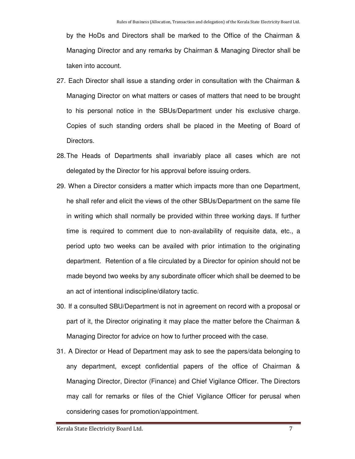by the HoDs and Directors shall be marked to the Office of the Chairman & Managing Director and any remarks by Chairman & Managing Director shall be taken into account.

- 27. Each Director shall issue a standing order in consultation with the Chairman & Managing Director on what matters or cases of matters that need to be brought to his personal notice in the SBUs/Department under his exclusive charge. Copies of such standing orders shall be placed in the Meeting of Board of Directors.
- 28. The Heads of Departments shall invariably place all cases which are not delegated by the Director for his approval before issuing orders.
- 29. When a Director considers a matter which impacts more than one Department, he shall refer and elicit the views of the other SBUs/Department on the same file in writing which shall normally be provided within three working days. If further time is required to comment due to non-availability of requisite data, etc., a period upto two weeks can be availed with prior intimation to the originating department. Retention of a file circulated by a Director for opinion should not be made beyond two weeks by any subordinate officer which shall be deemed to be an act of intentional indiscipline/dilatory tactic.
- 30. If a consulted SBU/Department is not in agreement on record with a proposal or part of it, the Director originating it may place the matter before the Chairman & Managing Director for advice on how to further proceed with the case.
- 31. A Director or Head of Department may ask to see the papers/data belonging to any department, except confidential papers of the office of Chairman & Managing Director, Director (Finance) and Chief Vigilance Officer. The Directors may call for remarks or files of the Chief Vigilance Officer for perusal when considering cases for promotion/appointment.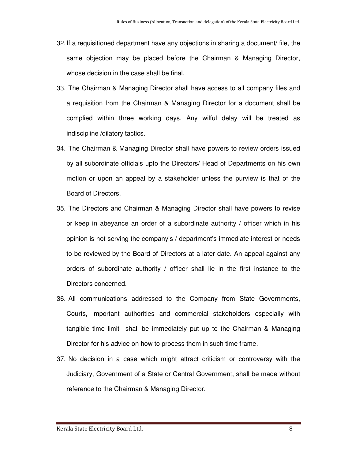- 32. If a requisitioned department have any objections in sharing a document/ file, the same objection may be placed before the Chairman & Managing Director, whose decision in the case shall be final.
- 33. The Chairman & Managing Director shall have access to all company files and a requisition from the Chairman & Managing Director for a document shall be complied within three working days. Any wilful delay will be treated as indiscipline /dilatory tactics.
- 34. The Chairman & Managing Director shall have powers to review orders issued by all subordinate officials upto the Directors/ Head of Departments on his own motion or upon an appeal by a stakeholder unless the purview is that of the Board of Directors.
- 35. The Directors and Chairman & Managing Director shall have powers to revise or keep in abeyance an order of a subordinate authority / officer which in his opinion is not serving the company's / department's immediate interest or needs to be reviewed by the Board of Directors at a later date. An appeal against any orders of subordinate authority / officer shall lie in the first instance to the Directors concerned.
- 36. All communications addressed to the Company from State Governments, Courts, important authorities and commercial stakeholders especially with tangible time limit shall be immediately put up to the Chairman & Managing Director for his advice on how to process them in such time frame.
- 37. No decision in a case which might attract criticism or controversy with the Judiciary, Government of a State or Central Government, shall be made without reference to the Chairman & Managing Director.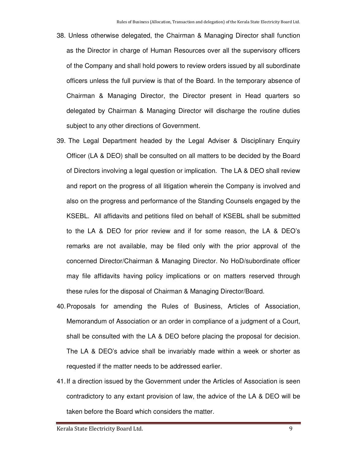- 38. Unless otherwise delegated, the Chairman & Managing Director shall function as the Director in charge of Human Resources over all the supervisory officers of the Company and shall hold powers to review orders issued by all subordinate officers unless the full purview is that of the Board. In the temporary absence of Chairman & Managing Director, the Director present in Head quarters so delegated by Chairman & Managing Director will discharge the routine duties subject to any other directions of Government.
- 39. The Legal Department headed by the Legal Adviser & Disciplinary Enquiry Officer (LA & DEO) shall be consulted on all matters to be decided by the Board of Directors involving a legal question or implication. The LA & DEO shall review and report on the progress of all litigation wherein the Company is involved and also on the progress and performance of the Standing Counsels engaged by the KSEBL. All affidavits and petitions filed on behalf of KSEBL shall be submitted to the LA & DEO for prior review and if for some reason, the LA & DEO's remarks are not available, may be filed only with the prior approval of the concerned Director/Chairman & Managing Director. No HoD/subordinate officer may file affidavits having policy implications or on matters reserved through these rules for the disposal of Chairman & Managing Director/Board.
- 40. Proposals for amending the Rules of Business, Articles of Association, Memorandum of Association or an order in compliance of a judgment of a Court, shall be consulted with the LA & DEO before placing the proposal for decision. The LA & DEO's advice shall be invariably made within a week or shorter as requested if the matter needs to be addressed earlier.
- 41. If a direction issued by the Government under the Articles of Association is seen contradictory to any extant provision of law, the advice of the LA & DEO will be taken before the Board which considers the matter.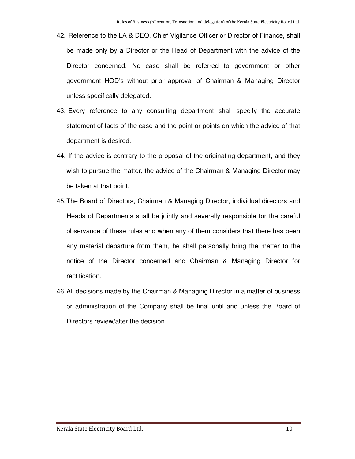- 42. Reference to the LA & DEO, Chief Vigilance Officer or Director of Finance, shall be made only by a Director or the Head of Department with the advice of the Director concerned. No case shall be referred to government or other government HOD's without prior approval of Chairman & Managing Director unless specifically delegated.
- 43. Every reference to any consulting department shall specify the accurate statement of facts of the case and the point or points on which the advice of that department is desired.
- 44. If the advice is contrary to the proposal of the originating department, and they wish to pursue the matter, the advice of the Chairman & Managing Director may be taken at that point.
- 45. The Board of Directors, Chairman & Managing Director, individual directors and Heads of Departments shall be jointly and severally responsible for the careful observance of these rules and when any of them considers that there has been any material departure from them, he shall personally bring the matter to the notice of the Director concerned and Chairman & Managing Director for rectification.
- 46. All decisions made by the Chairman & Managing Director in a matter of business or administration of the Company shall be final until and unless the Board of Directors review/alter the decision.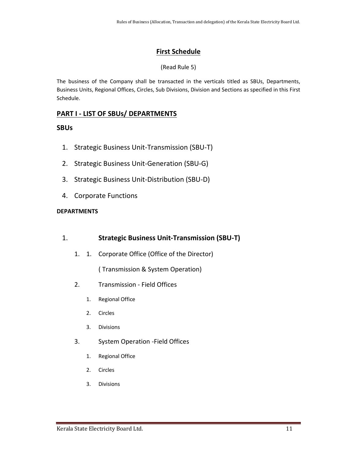# **First Schedule**

# (Read Rule 5)

The business of the Company shall be transacted in the verticals titled as SBUs, Departments, Business Units, Regional Offices, Circles, Sub Divisions, Division and Sections as specified in this First Schedule.

# **PART I - LIST OF SBUs/ DEPARTMENTS**

# **SBUs**

- 1. Strategic Business Unit-Transmission (SBU-T)
- 2. Strategic Business Unit-Generation (SBU-G)
- 3. Strategic Business Unit-Distribution (SBU-D)
- 4. Corporate Functions

# **DEPARTMENTS**

# 1. **Strategic Business Unit-Transmission (SBU-T)**

1. 1. Corporate Office (Office of the Director)

( Transmission & System Operation)

- 2. Transmission Field Offices
	- 1. Regional Office
	- 2. Circles
	- 3. Divisions
- 3. System Operation -Field Offices
	- 1. Regional Office
	- 2. Circles
	- 3. Divisions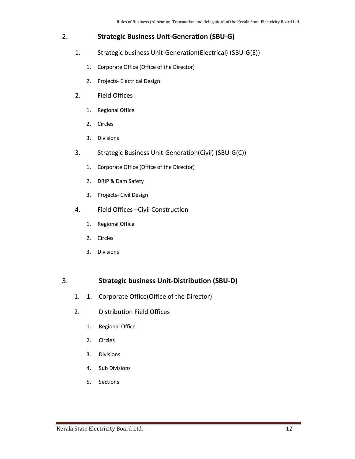# 2. **Strategic Business Unit-Generation (SBU-G)**

- 1. Strategic business Unit-Generation(Electrical) (SBU-G(E))
	- 1. Corporate Office (Office of the Director)
	- 2. Projects- Electrical Design
- 2. Field Offices
	- 1. Regional Office
	- 2. Circles
	- 3. Divisions
- 3. Strategic Business Unit-Generation(Civil) (SBU-G(C))
	- 1. Corporate Office (Office of the Director)
	- 2. DRIP & Dam Safety
	- 3. Projects- Civil Design
- 4. Field Offices –Civil Construction
	- 1. Regional Office
	- 2. Circles
	- 3. Divisions

# 3. **Strategic business Unit-Distribution (SBU-D)**

- 1. 1. Corporate Office(Office of the Director)
- 2. Distribution Field Offices
	- 1. Regional Office
	- 2. Circles
	- 3. Divisions
	- 4. Sub Divisions
	- 5. Sections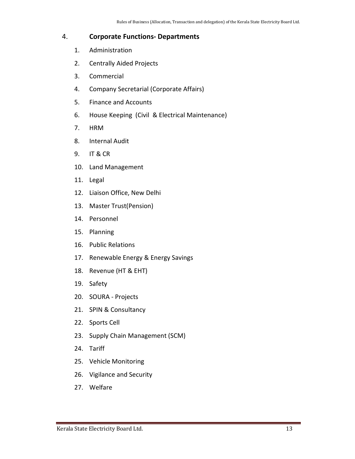# 4. **Corporate Functions- Departments**

- 1. Administration
- 2. Centrally Aided Projects
- 3. Commercial
- 4. Company Secretarial (Corporate Affairs)
- 5. Finance and Accounts
- 6. House Keeping (Civil & Electrical Maintenance)
- 7. HRM
- 8. Internal Audit
- 9. IT & CR
- 10. Land Management
- 11. Legal
- 12. Liaison Office, New Delhi
- 13. Master Trust(Pension)
- 14. Personnel
- 15. Planning
- 16. Public Relations
- 17. Renewable Energy & Energy Savings
- 18. Revenue (HT & EHT)
- 19. Safety
- 20. SOURA Projects
- 21. SPIN & Consultancy
- 22. Sports Cell
- 23. Supply Chain Management (SCM)
- 24. Tariff
- 25. Vehicle Monitoring
- 26. Vigilance and Security
- 27. Welfare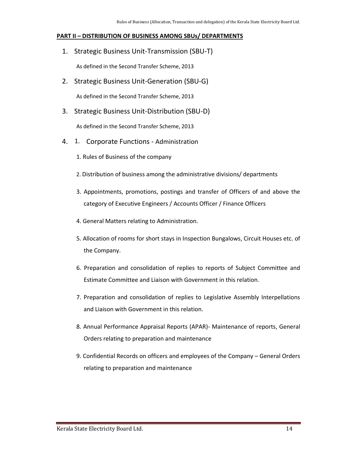#### **PART II – DISTRIBUTION OF BUSINESS AMONG SBUs/ DEPARTMENTS**

1. Strategic Business Unit-Transmission (SBU-T)

As defined in the Second Transfer Scheme, 2013

2. Strategic Business Unit-Generation (SBU-G)

As defined in the Second Transfer Scheme, 2013

3. Strategic Business Unit-Distribution (SBU-D)

As defined in the Second Transfer Scheme, 2013

- 4. 1. Corporate Functions Administration
	- 1. Rules of Business of the company
	- 2. Distribution of business among the administrative divisions/ departments
	- 3. Appointments, promotions, postings and transfer of Officers of and above the category of Executive Engineers / Accounts Officer / Finance Officers
	- 4. General Matters relating to Administration.
	- 5. Allocation of rooms for short stays in Inspection Bungalows, Circuit Houses etc. of the Company.
	- 6. Preparation and consolidation of replies to reports of Subject Committee and Estimate Committee and Liaison with Government in this relation.
	- 7. Preparation and consolidation of replies to Legislative Assembly Interpellations and Liaison with Government in this relation.
	- 8. Annual Performance Appraisal Reports (APAR)- Maintenance of reports, General Orders relating to preparation and maintenance
	- 9. Confidential Records on officers and employees of the Company General Orders relating to preparation and maintenance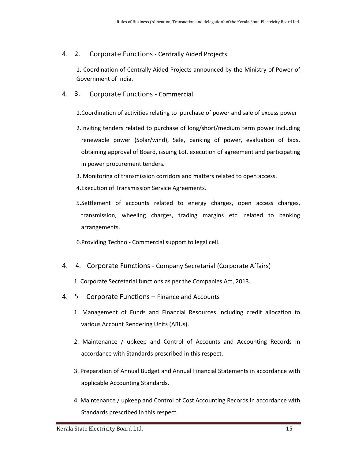# 4. 2. Corporate Functions - Centrally Aided Projects

1. Coordination of Centrally Aided Projects announced by the Ministry of Power of Government of India.

- 4. 3. Corporate Functions Commercial
	- 1.Coordination of activities relating to purchase of power and sale of excess power
	- 2.Inviting tenders related to purchase of long/short/medium term power including renewable power (Solar/wind), Sale, banking of power, evaluation of bids, obtaining approval of Board, issuing LoI, execution of agreement and participating in power procurement tenders.
	- 3. Monitoring of transmission corridors and matters related to open access.
	- 4.Execution of Transmission Service Agreements.
	- 5.Settlement of accounts related to energy charges, open access charges, transmission, wheeling charges, trading margins etc. related to banking arrangements.

6.Providing Techno - Commercial support to legal cell.

4. 4. Corporate Functions - Company Secretarial (Corporate Affairs)

1. Corporate Secretarial functions as per the Companies Act, 2013.

- 4. 5. Corporate Functions Finance and Accounts
	- 1. Management of Funds and Financial Resources including credit allocation to various Account Rendering Units (ARUs).
	- 2. Maintenance / upkeep and Control of Accounts and Accounting Records in accordance with Standards prescribed in this respect.
	- 3. Preparation of Annual Budget and Annual Financial Statements in accordance with applicable Accounting Standards.
	- 4. Maintenance / upkeep and Control of Cost Accounting Records in accordance with Standards prescribed in this respect.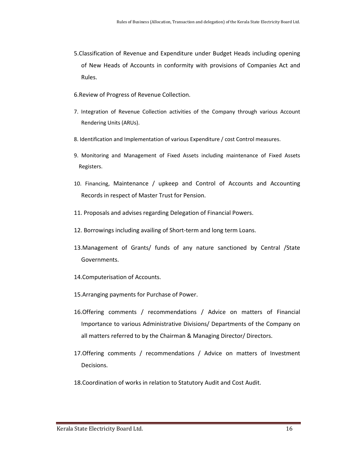- 5.Classification of Revenue and Expenditure under Budget Heads including opening of New Heads of Accounts in conformity with provisions of Companies Act and Rules.
- 6.Review of Progress of Revenue Collection.
- 7. Integration of Revenue Collection activities of the Company through various Account Rendering Units (ARUs).
- 8. Identification and Implementation of various Expenditure / cost Control measures.
- 9. Monitoring and Management of Fixed Assets including maintenance of Fixed Assets Registers.
- 10. Financing, Maintenance / upkeep and Control of Accounts and Accounting Records in respect of Master Trust for Pension.
- 11. Proposals and advises regarding Delegation of Financial Powers.
- 12. Borrowings including availing of Short-term and long term Loans.
- 13.Management of Grants/ funds of any nature sanctioned by Central /State Governments.
- 14.Computerisation of Accounts.
- 15.Arranging payments for Purchase of Power.
- 16.Offering comments / recommendations / Advice on matters of Financial Importance to various Administrative Divisions/ Departments of the Company on all matters referred to by the Chairman & Managing Director/ Directors.
- 17.Offering comments / recommendations / Advice on matters of Investment Decisions.
- 18.Coordination of works in relation to Statutory Audit and Cost Audit.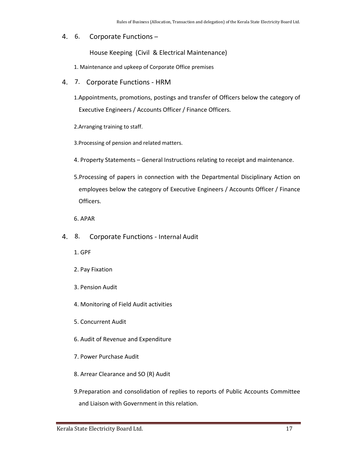#### 4. 6. Corporate Functions –

House Keeping (Civil & Electrical Maintenance)

1. Maintenance and upkeep of Corporate Office premises

- 4. 7. Corporate Functions HRM
	- 1.Appointments, promotions, postings and transfer of Officers below the category of Executive Engineers / Accounts Officer / Finance Officers.
	- 2.Arranging training to staff.

3.Processing of pension and related matters.

- 4. Property Statements General Instructions relating to receipt and maintenance.
- 5.Processing of papers in connection with the Departmental Disciplinary Action on employees below the category of Executive Engineers / Accounts Officer / Finance Officers.

6. APAR

- 4. 8. Corporate Functions Internal Audit
	- 1. GPF
	- 2. Pay Fixation
	- 3. Pension Audit
	- 4. Monitoring of Field Audit activities
	- 5. Concurrent Audit
	- 6. Audit of Revenue and Expenditure
	- 7. Power Purchase Audit
	- 8. Arrear Clearance and SO (R) Audit
	- 9.Preparation and consolidation of replies to reports of Public Accounts Committee and Liaison with Government in this relation.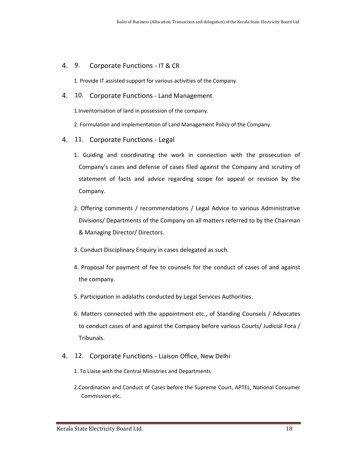#### 4. 9. Corporate Functions - IT & CR

1. Provide IT assisted support for various activities of the Company.

4. 10. Corporate Functions - Land Management

1.Inventorisation of land in possession of the company.

2. Formulation and implementation of Land Management Policy of the Company.

- 4. 11. Corporate Functions Legal
	- 1. Guiding and coordinating the work in connection with the prosecution of Company's cases and defense of cases filed against the Company and scrutiny of statement of facts and advice regarding scope for appeal or revision by the Company.
	- 2. Offering comments / recommendations / Legal Advice to various Administrative Divisions/ Departments of the Company on all matters referred to by the Chairman & Managing Director/ Directors.
	- 3. Conduct Disciplinary Enquiry in cases delegated as such.
	- 4. Proposal for payment of fee to counsels for the conduct of cases of and against the company.
	- 5. Participation in adalaths conducted by Legal Services Authorities.
	- 6. Matters connected with the appointment etc., of Standing Counsels / Advocates to conduct cases of and against the Company before various Courts/ Judicial Fora / Tribunals.
- 4. 12. Corporate Functions Liaison Office, New Delhi
	- 1. To Liaise with the Central Ministries and Departments
	- 2.Coordination and Conduct of Cases before the Supreme Court, APTEL, National Consumer Commission etc.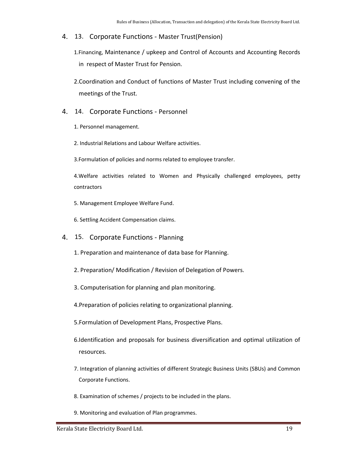4. 13. Corporate Functions - Master Trust(Pension)

1.Financing, Maintenance / upkeep and Control of Accounts and Accounting Records in respect of Master Trust for Pension.

- 2.Coordination and Conduct of functions of Master Trust including convening of the meetings of the Trust.
- 4. 14. Corporate Functions Personnel
	- 1. Personnel management.
	- 2. Industrial Relations and Labour Welfare activities.

3.Formulation of policies and norms related to employee transfer.

4.Welfare activities related to Women and Physically challenged employees, petty contractors

- 5. Management Employee Welfare Fund.
- 6. Settling Accident Compensation claims.
- 4. 15. Corporate Functions Planning
	- 1. Preparation and maintenance of data base for Planning.
	- 2. Preparation/ Modification / Revision of Delegation of Powers.
	- 3. Computerisation for planning and plan monitoring.
	- 4.Preparation of policies relating to organizational planning.
	- 5.Formulation of Development Plans, Prospective Plans.
	- 6.Identification and proposals for business diversification and optimal utilization of resources.
	- 7. Integration of planning activities of different Strategic Business Units (SBUs) and Common Corporate Functions.
	- 8. Examination of schemes / projects to be included in the plans.
	- 9. Monitoring and evaluation of Plan programmes.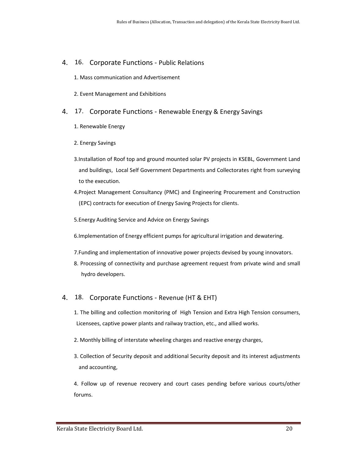#### 4. 16. Corporate Functions - Public Relations

- 1. Mass communication and Advertisement
- 2. Event Management and Exhibitions
- 4. 17. Corporate Functions Renewable Energy & Energy Savings
	- 1. Renewable Energy
	- 2. Energy Savings
	- 3.Installation of Roof top and ground mounted solar PV projects in KSEBL, Government Land and buildings, Local Self Government Departments and Collectorates right from surveying to the execution.
	- 4.Project Management Consultancy (PMC) and Engineering Procurement and Construction (EPC) contracts for execution of Energy Saving Projects for clients.
	- 5.Energy Auditing Service and Advice on Energy Savings

6.Implementation of Energy efficient pumps for agricultural irrigation and dewatering.

- 7.Funding and implementation of innovative power projects devised by young innovators.
- 8. Processing of connectivity and purchase agreement request from private wind and small hydro developers.

#### 4. 18. Corporate Functions - Revenue (HT & EHT)

- 1. The billing and collection monitoring of High Tension and Extra High Tension consumers, Licensees, captive power plants and railway traction, etc., and allied works.
- 2. Monthly billing of interstate wheeling charges and reactive energy charges,
- 3. Collection of Security deposit and additional Security deposit and its interest adjustments and accounting,

4. Follow up of revenue recovery and court cases pending before various courts/other forums.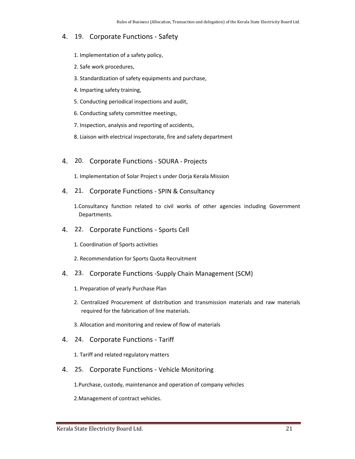# 4. 19. Corporate Functions - Safety

- 1. Implementation of a safety policy,
- 2. Safe work procedures,
- 3. Standardization of safety equipments and purchase,
- 4. Imparting safety training,
- 5. Conducting periodical inspections and audit,
- 6. Conducting safety committee meetings,
- 7. Inspection, analysis and reporting of accidents,
- 8. Liaison with electrical inspectorate, fire and safety department
- 4. 20. Corporate Functions SOURA Projects

1. Implementation of Solar Project s under Oorja Kerala Mission

4. 21. Corporate Functions - SPIN & Consultancy

1.Consultancy function related to civil works of other agencies including Government Departments.

- 4. 22. Corporate Functions Sports Cell
	- 1. Coordination of Sports activities
	- 2. Recommendation for Sports Quota Recruitment
- 4. 23. Corporate Functions -Supply Chain Management (SCM)
	- 1. Preparation of yearly Purchase Plan
	- 2. Centralized Procurement of distribution and transmission materials and raw materials required for the fabrication of line materials.
	- 3. Allocation and monitoring and review of flow of materials
- 4. 24. Corporate Functions Tariff
	- 1. Tariff and related regulatory matters
- 4. 25. Corporate Functions Vehicle Monitoring

1.Purchase, custody, maintenance and operation of company vehicles

2.Management of contract vehicles.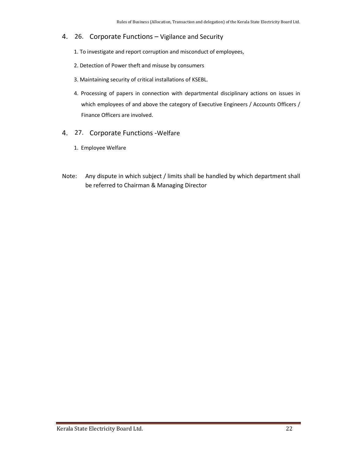- 4. 26. Corporate Functions Vigilance and Security
	- 1. To investigate and report corruption and misconduct of employees,
	- 2. Detection of Power theft and misuse by consumers
	- 3. Maintaining security of critical installations of KSEBL.
	- 4. Processing of papers in connection with departmental disciplinary actions on issues in which employees of and above the category of Executive Engineers / Accounts Officers / Finance Officers are involved.
- 4. 27. Corporate Functions -Welfare
	- 1. Employee Welfare
- Note: Any dispute in which subject / limits shall be handled by which department shall be referred to Chairman & Managing Director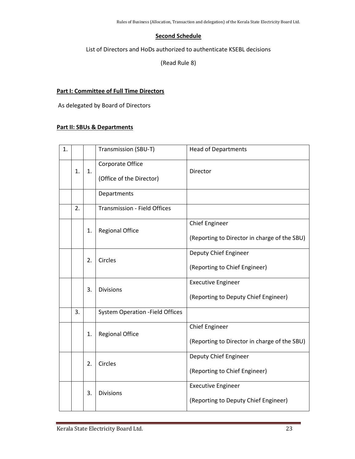#### **Second Schedule**

List of Directors and HoDs authorized to authenticate KSEBL decisions

(Read Rule 8)

#### **Part I: Committee of Full Time Directors**

As delegated by Board of Directors

#### **Part II: SBUs & Departments**

| 1. |    |    | Transmission (SBU-T)                         | <b>Head of Departments</b>                                            |
|----|----|----|----------------------------------------------|-----------------------------------------------------------------------|
|    | 1. | 1. | Corporate Office<br>(Office of the Director) | Director                                                              |
|    |    |    | Departments                                  |                                                                       |
|    | 2. |    | <b>Transmission - Field Offices</b>          |                                                                       |
|    |    | 1. | <b>Regional Office</b>                       | <b>Chief Engineer</b><br>(Reporting to Director in charge of the SBU) |
|    |    | 2. | Circles                                      | Deputy Chief Engineer<br>(Reporting to Chief Engineer)                |
|    |    | 3. | <b>Divisions</b>                             | <b>Executive Engineer</b><br>(Reporting to Deputy Chief Engineer)     |
|    | 3. |    | <b>System Operation - Field Offices</b>      |                                                                       |
|    |    | 1. | <b>Regional Office</b>                       | <b>Chief Engineer</b><br>(Reporting to Director in charge of the SBU) |
|    |    | 2. | Circles                                      | Deputy Chief Engineer<br>(Reporting to Chief Engineer)                |
|    |    | 3. | <b>Divisions</b>                             | <b>Executive Engineer</b><br>(Reporting to Deputy Chief Engineer)     |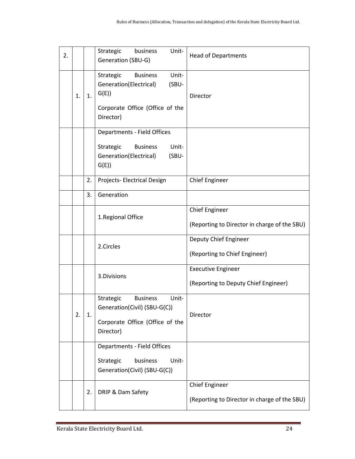| 2. |    |    | Unit-<br>Strategic<br>business<br>Generation (SBU-G)                                                                             | <b>Head of Departments</b>                                            |
|----|----|----|----------------------------------------------------------------------------------------------------------------------------------|-----------------------------------------------------------------------|
|    | 1. | 1. | Unit-<br>Strategic<br><b>Business</b><br>(SBU-<br>Generation(Electrical)<br>G(E)<br>Corporate Office (Office of the<br>Director) | Director                                                              |
|    |    |    | <b>Departments - Field Offices</b><br>Strategic<br>Unit-<br><b>Business</b><br>Generation(Electrical)<br>(SBU-<br>G(E)           |                                                                       |
|    |    | 2. | Projects- Electrical Design                                                                                                      | <b>Chief Engineer</b>                                                 |
|    |    | 3. | Generation                                                                                                                       |                                                                       |
|    |    |    | 1.Regional Office                                                                                                                | <b>Chief Engineer</b><br>(Reporting to Director in charge of the SBU) |
|    |    |    | 2.Circles                                                                                                                        | Deputy Chief Engineer<br>(Reporting to Chief Engineer)                |
|    |    |    | 3.Divisions                                                                                                                      | <b>Executive Engineer</b><br>(Reporting to Deputy Chief Engineer)     |
|    | 2. | 1. | Strategic<br><b>Business</b><br>Unit-<br>Generation(Civil) (SBU-G(C))<br>Corporate Office (Office of the<br>Director)            | Director                                                              |
|    |    |    | <b>Departments - Field Offices</b><br>Strategic<br>business<br>Unit-<br>Generation(Civil) (SBU-G(C))                             |                                                                       |
|    |    | 2. | DRIP & Dam Safety                                                                                                                | <b>Chief Engineer</b><br>(Reporting to Director in charge of the SBU) |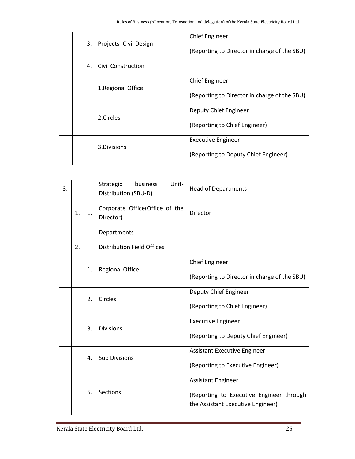| 3. | Projects- Civil Design | Chief Engineer<br>(Reporting to Director in charge of the SBU)    |
|----|------------------------|-------------------------------------------------------------------|
| 4. | Civil Construction     |                                                                   |
|    | 1. Regional Office     | Chief Engineer<br>(Reporting to Director in charge of the SBU)    |
|    | 2.Circles              | Deputy Chief Engineer<br>(Reporting to Chief Engineer)            |
|    | 3. Divisions           | <b>Executive Engineer</b><br>(Reporting to Deputy Chief Engineer) |

| 3. |    |    | Strategic<br>Unit-<br>business<br>Distribution (SBU-D) | <b>Head of Departments</b>                                                                                 |
|----|----|----|--------------------------------------------------------|------------------------------------------------------------------------------------------------------------|
|    | 1. | 1. | Corporate Office(Office of the<br>Director)            | Director                                                                                                   |
|    |    |    | Departments                                            |                                                                                                            |
|    | 2. |    | <b>Distribution Field Offices</b>                      |                                                                                                            |
|    |    | 1. | <b>Regional Office</b>                                 | <b>Chief Engineer</b><br>(Reporting to Director in charge of the SBU)                                      |
|    |    | 2. | Circles                                                | Deputy Chief Engineer<br>(Reporting to Chief Engineer)                                                     |
|    |    | 3. | <b>Divisions</b>                                       | <b>Executive Engineer</b><br>(Reporting to Deputy Chief Engineer)                                          |
|    |    | 4. | <b>Sub Divisions</b>                                   | <b>Assistant Executive Engineer</b><br>(Reporting to Executive Engineer)                                   |
|    |    | 5. | <b>Sections</b>                                        | <b>Assistant Engineer</b><br>(Reporting to Executive Engineer through<br>the Assistant Executive Engineer) |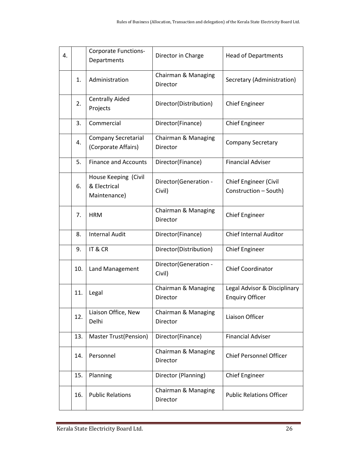| 4. |     | <b>Corporate Functions-</b><br>Departments           | Director in Charge               | <b>Head of Departments</b>                             |
|----|-----|------------------------------------------------------|----------------------------------|--------------------------------------------------------|
|    | 1.  | Administration                                       | Chairman & Managing<br>Director  | Secretary (Administration)                             |
|    | 2.  | <b>Centrally Aided</b><br>Projects                   | Director(Distribution)           | <b>Chief Engineer</b>                                  |
|    | 3.  | Commercial                                           | Director(Finance)                | <b>Chief Engineer</b>                                  |
|    | 4.  | <b>Company Secretarial</b><br>(Corporate Affairs)    | Chairman & Managing<br>Director  | <b>Company Secretary</b>                               |
|    | 5.  | <b>Finance and Accounts</b>                          | Director(Finance)                | <b>Financial Adviser</b>                               |
|    | 6.  | House Keeping (Civil<br>& Electrical<br>Maintenance) | Director (Generation -<br>Civil) | Chief Engineer (Civil<br>Construction - South)         |
|    | 7.  | <b>HRM</b>                                           | Chairman & Managing<br>Director  | <b>Chief Engineer</b>                                  |
|    | 8.  | <b>Internal Audit</b>                                | Director(Finance)                | <b>Chief Internal Auditor</b>                          |
|    | 9.  | IT & CR                                              | Director(Distribution)           | <b>Chief Engineer</b>                                  |
|    | 10. | Land Management                                      | Director(Generation -<br>Civil)  | <b>Chief Coordinator</b>                               |
|    | 11. | Legal                                                | Chairman & Managing<br>Director  | Legal Advisor & Disciplinary<br><b>Enquiry Officer</b> |
|    | 12. | Liaison Office, New<br>Delhi                         | Chairman & Managing<br>Director  | Liaison Officer                                        |
|    | 13. | <b>Master Trust(Pension)</b>                         | Director(Finance)                | <b>Financial Adviser</b>                               |
|    | 14. | Personnel                                            | Chairman & Managing<br>Director  | <b>Chief Personnel Officer</b>                         |
|    | 15. | Planning                                             | Director (Planning)              | <b>Chief Engineer</b>                                  |
|    | 16. | <b>Public Relations</b>                              | Chairman & Managing<br>Director  | <b>Public Relations Officer</b>                        |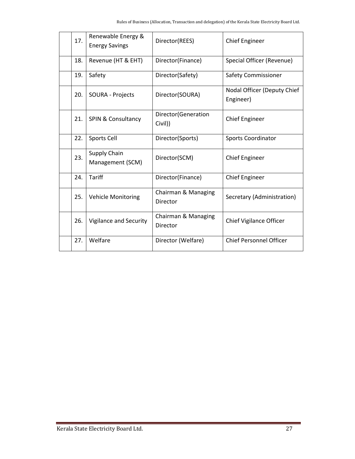| 17. | Renewable Energy &<br><b>Energy Savings</b> | Director(REES)                  | <b>Chief Engineer</b>                    |
|-----|---------------------------------------------|---------------------------------|------------------------------------------|
| 18. | Revenue (HT & EHT)                          | Director(Finance)               | Special Officer (Revenue)                |
| 19. | Safety                                      | Director(Safety)                | <b>Safety Commissioner</b>               |
| 20. | <b>SOURA - Projects</b>                     | Director(SOURA)                 | Nodal Officer (Deputy Chief<br>Engineer) |
| 21. | <b>SPIN &amp; Consultancy</b>               | Director(Generation<br>Civil))  | <b>Chief Engineer</b>                    |
| 22. | Sports Cell                                 | Director(Sports)                | <b>Sports Coordinator</b>                |
| 23. | Supply Chain<br>Management (SCM)            | Director(SCM)                   | <b>Chief Engineer</b>                    |
| 24. | <b>Tariff</b>                               | Director(Finance)               | <b>Chief Engineer</b>                    |
| 25. | <b>Vehicle Monitoring</b>                   | Chairman & Managing<br>Director | Secretary (Administration)               |
| 26. | Vigilance and Security                      | Chairman & Managing<br>Director | <b>Chief Vigilance Officer</b>           |
| 27. | Welfare                                     | Director (Welfare)              | <b>Chief Personnel Officer</b>           |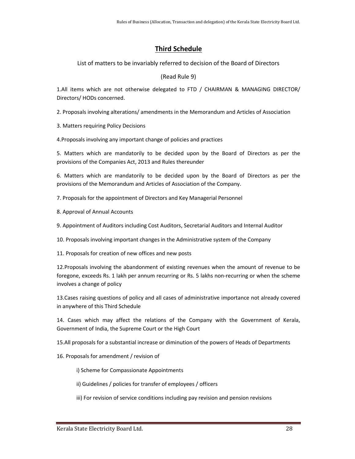# **Third Schedule**

List of matters to be invariably referred to decision of the Board of Directors

#### (Read Rule 9)

1.All items which are not otherwise delegated to FTD / CHAIRMAN & MANAGING DIRECTOR/ Directors/ HODs concerned.

2. Proposals involving alterations/ amendments in the Memorandum and Articles of Association

3. Matters requiring Policy Decisions

4.Proposals involving any important change of policies and practices

5. Matters which are mandatorily to be decided upon by the Board of Directors as per the provisions of the Companies Act, 2013 and Rules thereunder

6. Matters which are mandatorily to be decided upon by the Board of Directors as per the provisions of the Memorandum and Articles of Association of the Company.

7. Proposals for the appointment of Directors and Key Managerial Personnel

- 8. Approval of Annual Accounts
- 9. Appointment of Auditors including Cost Auditors, Secretarial Auditors and Internal Auditor

10. Proposals involving important changes in the Administrative system of the Company

11. Proposals for creation of new offices and new posts

12.Proposals involving the abandonment of existing revenues when the amount of revenue to be foregone, exceeds Rs. 1 lakh per annum recurring or Rs. 5 lakhs non-recurring or when the scheme involves a change of policy

13.Cases raising questions of policy and all cases of administrative importance not already covered in anywhere of this Third Schedule

14. Cases which may affect the relations of the Company with the Government of Kerala, Government of India, the Supreme Court or the High Court

15.All proposals for a substantial increase or diminution of the powers of Heads of Departments

16. Proposals for amendment / revision of

i) Scheme for Compassionate Appointments

ii) Guidelines / policies for transfer of employees / officers

iii) For revision of service conditions including pay revision and pension revisions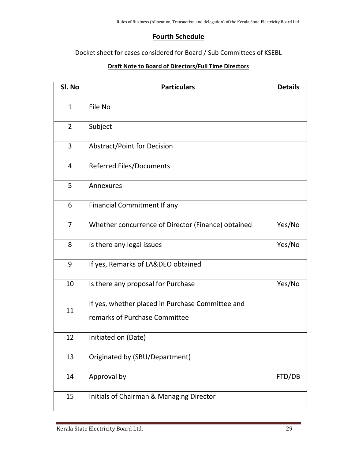# **Fourth Schedule**

Docket sheet for cases considered for Board / Sub Committees of KSEBL

### **Draft Note to Board of Directors/Full Time Directors**

| Sl. No         | <b>Particulars</b>                                 | <b>Details</b> |
|----------------|----------------------------------------------------|----------------|
| $\mathbf{1}$   | File No                                            |                |
| $\overline{2}$ | Subject                                            |                |
| 3              | <b>Abstract/Point for Decision</b>                 |                |
| 4              | <b>Referred Files/Documents</b>                    |                |
| 5              | Annexures                                          |                |
| 6              | <b>Financial Commitment If any</b>                 |                |
| 7              | Whether concurrence of Director (Finance) obtained | Yes/No         |
| 8              | Is there any legal issues                          | Yes/No         |
| 9              | If yes, Remarks of LA&DEO obtained                 |                |
| 10             | Is there any proposal for Purchase                 | Yes/No         |
| 11             | If yes, whether placed in Purchase Committee and   |                |
|                | remarks of Purchase Committee                      |                |
| 12             | Initiated on (Date)                                |                |
| 13             | Originated by (SBU/Department)                     |                |
| 14             | Approval by                                        | FTD/DB         |
| 15             | Initials of Chairman & Managing Director           |                |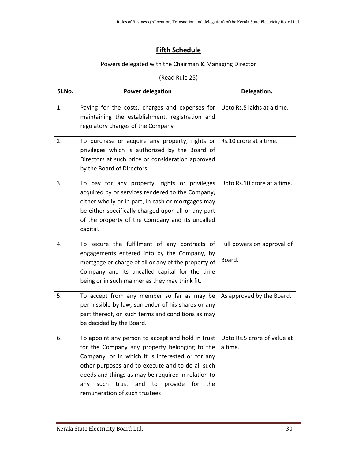# **Fifth Schedule**

# Powers delegated with the Chairman & Managing Director

# (Read Rule 25)

| SI.No. | <b>Power delegation</b>                                                                                                                                                                                                                                                                                                                                                           | Delegation.                          |
|--------|-----------------------------------------------------------------------------------------------------------------------------------------------------------------------------------------------------------------------------------------------------------------------------------------------------------------------------------------------------------------------------------|--------------------------------------|
| 1.     | Paying for the costs, charges and expenses for<br>maintaining the establishment, registration and<br>regulatory charges of the Company                                                                                                                                                                                                                                            | Upto Rs.5 lakhs at a time.           |
| 2.     | To purchase or acquire any property, rights or<br>privileges which is authorized by the Board of<br>Directors at such price or consideration approved<br>by the Board of Directors.                                                                                                                                                                                               | Rs.10 crore at a time.               |
| 3.     | To pay for any property, rights or privileges<br>acquired by or services rendered to the Company,<br>either wholly or in part, in cash or mortgages may<br>be either specifically charged upon all or any part<br>of the property of the Company and its uncalled<br>capital.                                                                                                     | Upto Rs.10 crore at a time.          |
| 4.     | To secure the fulfilment of any contracts of<br>engagements entered into by the Company, by<br>mortgage or charge of all or any of the property of<br>Company and its uncalled capital for the time<br>being or in such manner as they may think fit.                                                                                                                             | Full powers on approval of<br>Board. |
| 5.     | To accept from any member so far as may be<br>permissible by law, surrender of his shares or any<br>part thereof, on such terms and conditions as may<br>be decided by the Board.                                                                                                                                                                                                 | As approved by the Board.            |
| 6.     | To appoint any person to accept and hold in trust $\vert$ Upto Rs.5 crore of value at<br>for the Company any property belonging to the<br>Company, or in which it is interested or for any<br>other purposes and to execute and to do all such<br>deeds and things as may be required in relation to<br>any such trust and to provide for<br>the<br>remuneration of such trustees | a time.                              |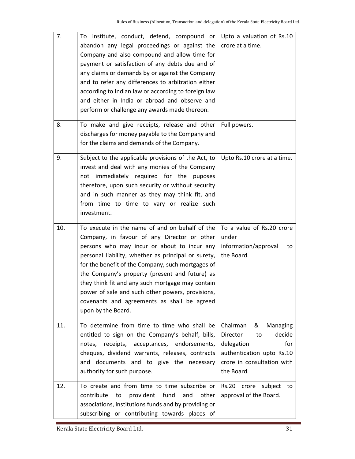| 7.<br>8. | To institute, conduct, defend, compound or<br>abandon any legal proceedings or against the<br>Company and also compound and allow time for<br>payment or satisfaction of any debts due and of<br>any claims or demands by or against the Company<br>and to refer any differences to arbitration either<br>according to Indian law or according to foreign law<br>and either in India or abroad and observe and<br>perform or challenge any awards made thereon.<br>To make and give receipts, release and other | Upto a valuation of Rs.10<br>crore at a time.<br>Full powers.                                                                                       |
|----------|-----------------------------------------------------------------------------------------------------------------------------------------------------------------------------------------------------------------------------------------------------------------------------------------------------------------------------------------------------------------------------------------------------------------------------------------------------------------------------------------------------------------|-----------------------------------------------------------------------------------------------------------------------------------------------------|
|          | discharges for money payable to the Company and<br>for the claims and demands of the Company.                                                                                                                                                                                                                                                                                                                                                                                                                   |                                                                                                                                                     |
| 9.       | Subject to the applicable provisions of the Act, to<br>invest and deal with any monies of the Company<br>not immediately required for the puposes<br>therefore, upon such security or without security<br>and in such manner as they may think fit, and<br>from time to time to vary or realize such<br>investment.                                                                                                                                                                                             | Upto Rs.10 crore at a time.                                                                                                                         |
|          |                                                                                                                                                                                                                                                                                                                                                                                                                                                                                                                 | To a value of Rs.20 crore                                                                                                                           |
| 10.      | To execute in the name of and on behalf of the<br>Company, in favour of any Director or other<br>persons who may incur or about to incur any<br>personal liability, whether as principal or surety,<br>for the benefit of the Company, such mortgages of<br>the Company's property (present and future) as<br>they think fit and any such mortgage may contain<br>power of sale and such other powers, provisions,<br>covenants and agreements as shall be agreed<br>upon by the Board.                         | under<br>information/approval<br>to<br>the Board.                                                                                                   |
| 11.      | To determine from time to time who shall be<br>entitled to sign on the Company's behalf, bills,<br>notes, receipts, acceptances, endorsements,<br>cheques, dividend warrants, releases, contracts<br>and documents and to give the necessary<br>authority for such purpose.                                                                                                                                                                                                                                     | Chairman<br>&<br>Managing<br>Director<br>decide<br>to<br>for<br>delegation<br>authentication upto Rs.10<br>crore in consultation with<br>the Board. |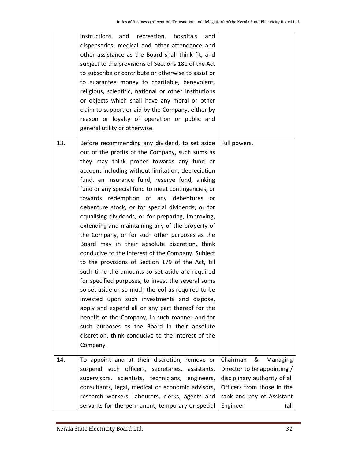|     | instructions<br>and recreation, hospitals<br>and<br>dispensaries, medical and other attendance and<br>other assistance as the Board shall think fit, and<br>subject to the provisions of Sections 181 of the Act<br>to subscribe or contribute or otherwise to assist or<br>to guarantee money to charitable, benevolent,<br>religious, scientific, national or other institutions<br>or objects which shall have any moral or other<br>claim to support or aid by the Company, either by<br>reason or loyalty of operation or public and<br>general utility or otherwise.                                                                                                                                                                                                                                                                                                                                                                                                                                                                                                                                                                                               |                                                                                                                                                                          |
|-----|--------------------------------------------------------------------------------------------------------------------------------------------------------------------------------------------------------------------------------------------------------------------------------------------------------------------------------------------------------------------------------------------------------------------------------------------------------------------------------------------------------------------------------------------------------------------------------------------------------------------------------------------------------------------------------------------------------------------------------------------------------------------------------------------------------------------------------------------------------------------------------------------------------------------------------------------------------------------------------------------------------------------------------------------------------------------------------------------------------------------------------------------------------------------------|--------------------------------------------------------------------------------------------------------------------------------------------------------------------------|
| 13. | Before recommending any dividend, to set aside<br>out of the profits of the Company, such sums as<br>they may think proper towards any fund or<br>account including without limitation, depreciation<br>fund, an insurance fund, reserve fund, sinking<br>fund or any special fund to meet contingencies, or<br>towards redemption of any debentures or<br>debenture stock, or for special dividends, or for<br>equalising dividends, or for preparing, improving,<br>extending and maintaining any of the property of<br>the Company, or for such other purposes as the<br>Board may in their absolute discretion, think<br>conducive to the interest of the Company. Subject<br>to the provisions of Section 179 of the Act, till<br>such time the amounts so set aside are required<br>for specified purposes, to invest the several sums<br>so set aside or so much thereof as required to be<br>invested upon such investments and dispose,<br>apply and expend all or any part thereof for the<br>benefit of the Company, in such manner and for<br>such purposes as the Board in their absolute<br>discretion, think conducive to the interest of the<br>Company. | Full powers.                                                                                                                                                             |
| 14. | To appoint and at their discretion, remove or<br>suspend such officers, secretaries, assistants,<br>supervisors, scientists, technicians, engineers,<br>consultants, legal, medical or economic advisors,<br>research workers, labourers, clerks, agents and<br>servants for the permanent, temporary or special                                                                                                                                                                                                                                                                                                                                                                                                                                                                                                                                                                                                                                                                                                                                                                                                                                                         | Chairman<br>&<br>Managing<br>Director to be appointing /<br>disciplinary authority of all<br>Officers from those in the<br>rank and pay of Assistant<br>Engineer<br>(all |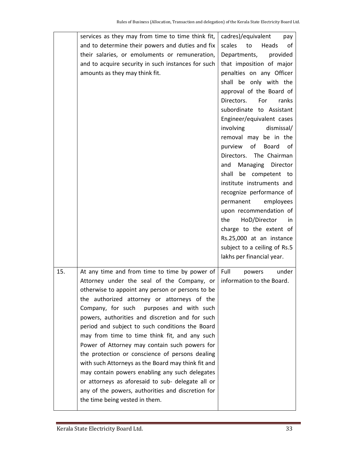|     | services as they may from time to time think fit,  | cadres)/equivalent<br>pay    |
|-----|----------------------------------------------------|------------------------------|
|     | and to determine their powers and duties and fix   | scales<br>Heads<br>to<br>οf  |
|     | their salaries, or emoluments or remuneration,     | Departments,<br>provided     |
|     | and to acquire security in such instances for such | that imposition of major     |
|     | amounts as they may think fit.                     | penalties on any Officer     |
|     |                                                    | shall be only with the       |
|     |                                                    | approval of the Board of     |
|     |                                                    | Directors.<br>For<br>ranks   |
|     |                                                    | subordinate to Assistant     |
|     |                                                    | Engineer/equivalent cases    |
|     |                                                    | involving<br>dismissal/      |
|     |                                                    | removal may be in the        |
|     |                                                    | of<br>Board<br>purview<br>of |
|     |                                                    | Directors. The Chairman      |
|     |                                                    | Managing Director<br>and     |
|     |                                                    | shall<br>be competent to     |
|     |                                                    | institute instruments and    |
|     |                                                    | recognize performance of     |
|     |                                                    | permanent<br>employees       |
|     |                                                    | upon recommendation of       |
|     |                                                    | HoD/Director<br>the<br>in    |
|     |                                                    | charge to the extent of      |
|     |                                                    | Rs.25,000 at an instance     |
|     |                                                    | subject to a ceiling of Rs.5 |
|     |                                                    | lakhs per financial year.    |
|     |                                                    |                              |
| 15. | At any time and from time to time by power of      | Full<br>under<br>powers      |
|     | Attorney under the seal of the Company, or         | information to the Board.    |
|     | otherwise to appoint any person or persons to be   |                              |
|     | the authorized attorney or attorneys of the        |                              |
|     | Company, for such<br>purposes and with such        |                              |
|     | powers, authorities and discretion and for such    |                              |
|     | period and subject to such conditions the Board    |                              |
|     | may from time to time think fit, and any such      |                              |
|     | Power of Attorney may contain such powers for      |                              |
|     | the protection or conscience of persons dealing    |                              |
|     | with such Attorneys as the Board may think fit and |                              |
|     | may contain powers enabling any such delegates     |                              |
|     | or attorneys as aforesaid to sub- delegate all or  |                              |
|     | any of the powers, authorities and discretion for  |                              |
|     | the time being vested in them.                     |                              |